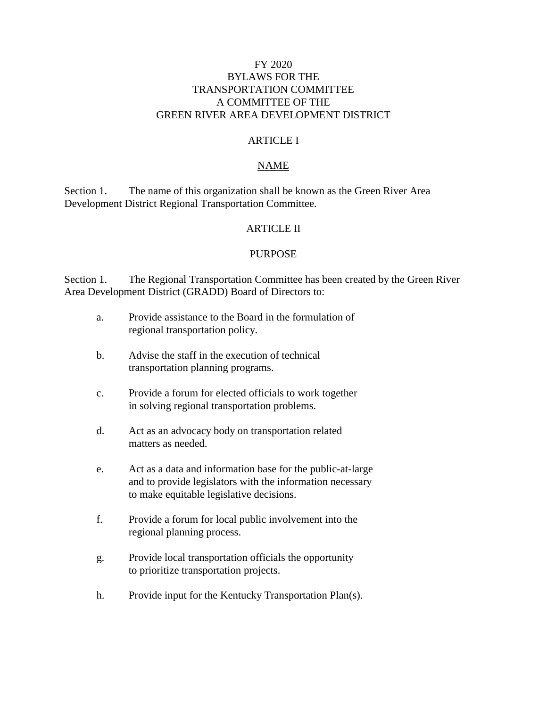## FY 2020 BYLAWS FOR THE TRANSPORTATION COMMITTEE A COMMITTEE OF THE GREEN RIVER AREA DEVELOPMENT DISTRICT

#### ARTICLE I

#### NAME

Section 1. The name of this organization shall be known as the Green River Area Development District Regional Transportation Committee.

#### ARTICLE II

#### PURPOSE

Section 1. The Regional Transportation Committee has been created by the Green River Area Development District (GRADD) Board of Directors to:

- a. Provide assistance to the Board in the formulation of regional transportation policy.
- b. Advise the staff in the execution of technical transportation planning programs.
- c. Provide a forum for elected officials to work together in solving regional transportation problems.
- d. Act as an advocacy body on transportation related matters as needed.
- e. Act as a data and information base for the public-at-large and to provide legislators with the information necessary to make equitable legislative decisions.
- f. Provide a forum for local public involvement into the regional planning process.
- g. Provide local transportation officials the opportunity to prioritize transportation projects.
- h. Provide input for the Kentucky Transportation Plan(s).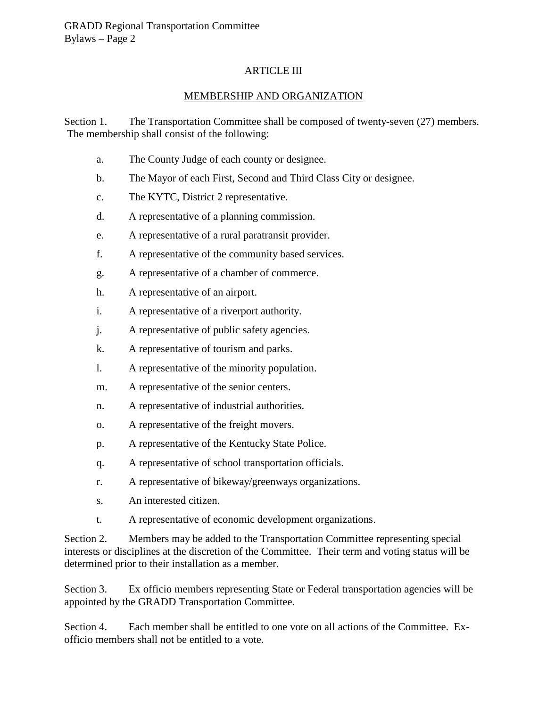## ARTICLE III

## MEMBERSHIP AND ORGANIZATION

Section 1. The Transportation Committee shall be composed of twenty-seven (27) members. The membership shall consist of the following:

- a. The County Judge of each county or designee.
- b. The Mayor of each First, Second and Third Class City or designee.
- c. The KYTC, District 2 representative.
- d. A representative of a planning commission.
- e. A representative of a rural paratransit provider.
- f. A representative of the community based services.
- g. A representative of a chamber of commerce.
- h. A representative of an airport.
- i. A representative of a riverport authority.
- j. A representative of public safety agencies.
- k. A representative of tourism and parks.
- l. A representative of the minority population.
- m. A representative of the senior centers.
- n. A representative of industrial authorities.
- o. A representative of the freight movers.
- p. A representative of the Kentucky State Police.
- q. A representative of school transportation officials.
- r. A representative of bikeway/greenways organizations.
- s. An interested citizen.
- t. A representative of economic development organizations.

Section 2. Members may be added to the Transportation Committee representing special interests or disciplines at the discretion of the Committee. Their term and voting status will be determined prior to their installation as a member.

Section 3. Ex officio members representing State or Federal transportation agencies will be appointed by the GRADD Transportation Committee.

Section 4. Each member shall be entitled to one vote on all actions of the Committee. Exofficio members shall not be entitled to a vote.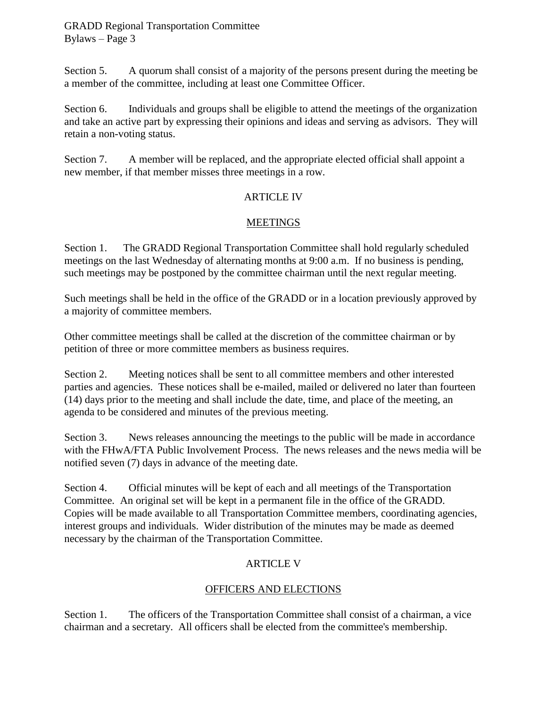Section 5. A quorum shall consist of a majority of the persons present during the meeting be a member of the committee, including at least one Committee Officer.

Section 6. Individuals and groups shall be eligible to attend the meetings of the organization and take an active part by expressing their opinions and ideas and serving as advisors. They will retain a non-voting status.

Section 7. A member will be replaced, and the appropriate elected official shall appoint a new member, if that member misses three meetings in a row.

## ARTICLE IV

# **MEETINGS**

Section 1. The GRADD Regional Transportation Committee shall hold regularly scheduled meetings on the last Wednesday of alternating months at 9:00 a.m. If no business is pending, such meetings may be postponed by the committee chairman until the next regular meeting.

Such meetings shall be held in the office of the GRADD or in a location previously approved by a majority of committee members.

Other committee meetings shall be called at the discretion of the committee chairman or by petition of three or more committee members as business requires.

Section 2. Meeting notices shall be sent to all committee members and other interested parties and agencies. These notices shall be e-mailed, mailed or delivered no later than fourteen (14) days prior to the meeting and shall include the date, time, and place of the meeting, an agenda to be considered and minutes of the previous meeting.

Section 3. News releases announcing the meetings to the public will be made in accordance with the FHwA/FTA Public Involvement Process.The news releases and the news media will be notified seven (7) days in advance of the meeting date.

Section 4. Official minutes will be kept of each and all meetings of the Transportation Committee. An original set will be kept in a permanent file in the office of the GRADD. Copies will be made available to all Transportation Committee members, coordinating agencies, interest groups and individuals. Wider distribution of the minutes may be made as deemed necessary by the chairman of the Transportation Committee.

# ARTICLE V

# OFFICERS AND ELECTIONS

Section 1. The officers of the Transportation Committee shall consist of a chairman, a vice chairman and a secretary. All officers shall be elected from the committee's membership.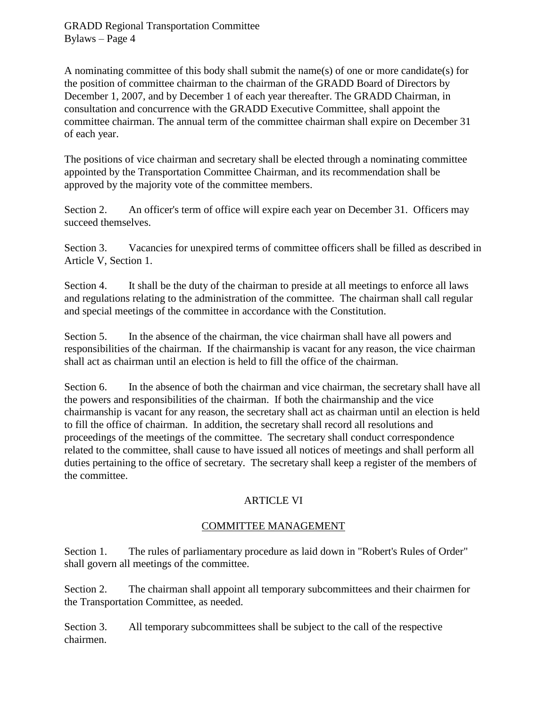GRADD Regional Transportation Committee Bylaws – Page 4

A nominating committee of this body shall submit the name(s) of one or more candidate(s) for the position of committee chairman to the chairman of the GRADD Board of Directors by December 1, 2007, and by December 1 of each year thereafter. The GRADD Chairman, in consultation and concurrence with the GRADD Executive Committee, shall appoint the committee chairman. The annual term of the committee chairman shall expire on December 31 of each year.

The positions of vice chairman and secretary shall be elected through a nominating committee appointed by the Transportation Committee Chairman, and its recommendation shall be approved by the majority vote of the committee members.

Section 2. An officer's term of office will expire each year on December 31. Officers may succeed themselves.

Section 3. Vacancies for unexpired terms of committee officers shall be filled as described in Article V, Section 1.

Section 4. It shall be the duty of the chairman to preside at all meetings to enforce all laws and regulations relating to the administration of the committee. The chairman shall call regular and special meetings of the committee in accordance with the Constitution.

Section 5. In the absence of the chairman, the vice chairman shall have all powers and responsibilities of the chairman. If the chairmanship is vacant for any reason, the vice chairman shall act as chairman until an election is held to fill the office of the chairman.

Section 6. In the absence of both the chairman and vice chairman, the secretary shall have all the powers and responsibilities of the chairman. If both the chairmanship and the vice chairmanship is vacant for any reason, the secretary shall act as chairman until an election is held to fill the office of chairman. In addition, the secretary shall record all resolutions and proceedings of the meetings of the committee. The secretary shall conduct correspondence related to the committee, shall cause to have issued all notices of meetings and shall perform all duties pertaining to the office of secretary. The secretary shall keep a register of the members of the committee.

## ARTICLE VI

## COMMITTEE MANAGEMENT

Section 1. The rules of parliamentary procedure as laid down in "Robert's Rules of Order" shall govern all meetings of the committee.

Section 2. The chairman shall appoint all temporary subcommittees and their chairmen for the Transportation Committee, as needed.

Section 3. All temporary subcommittees shall be subject to the call of the respective chairmen.